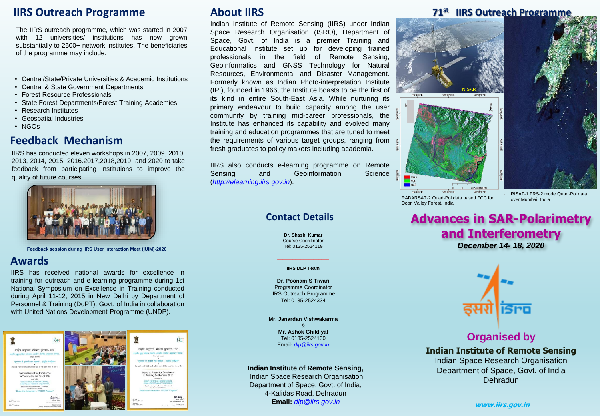## **IIRS Outreach Programme**

The IIRS outreach programme, which was started in 2007 with 12 universities/ institutions has now grown substantially to 2500+ network institutes. The beneficiaries of the programme may include:

- Central/State/Private Universities & Academic Institutions
- Central & State Government Departments
- Forest Resource Professionals
- State Forest Departments/Forest Training Academies
- Research Institutes
- Geospatial Industries
- NGOs

#### **Feedback Mechanism**

IIRS has conducted eleven workshops in 2007, 2009, 2010, 2013, 2014, 2015, 2016.2017,2018,2019 and 2020 to take feedback from participating institutions to improve the quality of future courses.



**Feedback session during IIRS User Interaction Meet (IUIM)-2020**

#### **Awards**

IIRS has received national awards for excellence in training for outreach and e-learning programme during 1st National Symposium on Excellence in Training conducted during April 11-12, 2015 in New Delhi by Department of Personnel & Training (DoPT), Govt. of India in collaboration with United Nations Development Programme (UNDP).



## **About IIRS**

Indian Institute of Remote Sensing (IIRS) under Indian Space Research Organisation (ISRO), Department of Space, Govt. of India is a premier Training and Educational Institute set up for developing trained professionals in the field of Remote Sensing, Geoinformatics and GNSS Technology for Natural Resources, Environmental and Disaster Management. Formerly known as Indian Photo-interpretation Institute (IPI), founded in 1966, the Institute boasts to be the first of its kind in entire South-East Asia. While nurturing its primary endeavour to build capacity among the user community by training mid-career professionals, the Institute has enhanced its capability and evolved many training and education programmes that are tuned to meet the requirements of various target groups, ranging from fresh graduates to policy makers including academia.

IIRS also conducts e-learning programme on Remote Sensing and Geoinformation Science (*http://elearning.iirs.gov.in*).

#### **Contact Details**

**Dr. Shashi Kumar** Course Coordinator Tel: 0135-2524119

#### **IIRS DLP Team**

**Dr. Poonam S Tiwari** Programme Coordinator IIRS Outreach Programme Tel: 0135-2524334

**Mr. Janardan Vishwakarma** & **Mr. Ashok Ghildiyal** Tel: 0135-2524130 Email- *dlp@iirs.gov.in*

#### **Indian Institute of Remote Sensing,**

Indian Space Research Organisation Department of Space, Govt. of India, 4-Kalidas Road, Dehradun **Email:** *dlp@iirs.gov.in*

#### **71st IIRS Outreach Programme**



78°4'0"E 78°11'0"E 78°18'0"E RADARSAT-2 Quad-Pol data based FCC for Doon Valley Forest, India

RISAT-1 FRS-2 mode Quad-Pol data<br>over Mumbai, India

# **Advances in SAR-Polarimetry and Interferometry**

*December 14- 18, 2020*



#### **Organised by**

**Indian Institute of Remote Sensing** Indian Space Research Organisation Department of Space, Govt. of India Dehradun

**www.iirs.gov.in**